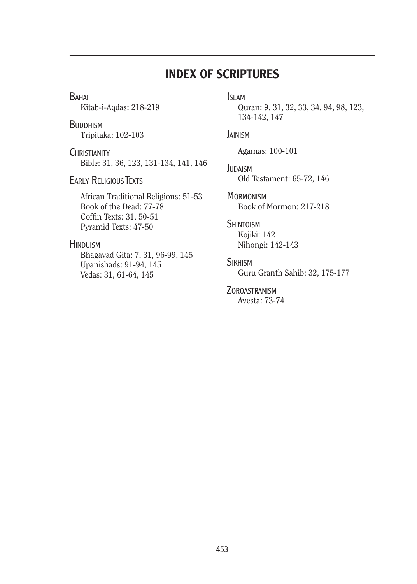# INDEX OF SCRIPTURES

**BAHAI** 

Kitab-i-Aqdas: 218-219

**BUDDHISM** Tripitaka: 102-103

**CHRISTIANITY** Bible: 31, 36, 123, 131-134, 141, 146

**EARLY RELIGIOUS TEXTS** 

African Traditional Religions: 51-53 Book of the Dead: 77-78 Coffin Texts: 31, 50-51 Pyramid Texts: 47-50

## **HINDUISM**

Bhagavad Gita: 7, 31, 96-99, 145 Upanishads: 91-94, 145 Vedas: 31, 61-64, 145

## Islam

Quran: 9, 31, 32, 33, 34, 94, 98, 123, 134-142, 147

### **JAINISM**

Agamas: 100-101

**JUDAISM** Old Testament: 65-72, 146

**MORMONISM** Book of Mormon: 217-218

### **SHINTOISM**

Kojiki: 142 Nihongi: 142-143

### **SIKHISM**

Guru Granth Sahib: 32, 175-177

### **ZOROASTRANISM**

Avesta: 73-74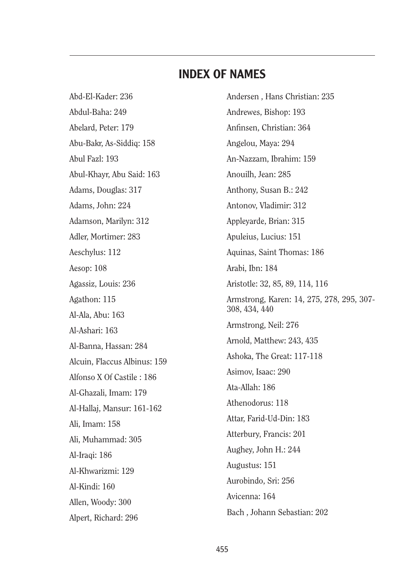Abd-El-Kader: 236 Abdul-Baha: 249 Abelard, Peter: 179 Abu-Bakr, As-Siddiq: 158 Abul Fazl: 193 Abul-Khayr, Abu Said: 163 Adams, Douglas: 317 Adams, John: 224 Adamson, Marilyn: 312 Adler, Mortimer: 283 Aeschylus: 112 Aesop: 108 Agassiz, Louis: 236 Agathon: 115 Al-Ala, Abu: 163 Al-Ashari: 163 Al-Banna, Hassan: 284 Alcuin, Flaccus Albinus: 159 Alfonso X Of Castile : 186 Al-Ghazali, Imam: 179 Al-Hallaj, Mansur: 161-162 Ali, Imam: 158 Ali, Muhammad: 305 Al-Iraqi: 186 Al-Khwarizmi: 129 Al-Kindi: 160 Allen, Woody: 300 Alpert, Richard: 296

Andersen , Hans Christian: 235 Andrewes, Bishop: 193 Anfinsen, Christian: 364 Angelou, Maya: 294 An-Nazzam, Ibrahim: 159 Anouilh, Jean: 285 Anthony, Susan B.: 242 Antonov, Vladimir: 312 Appleyarde, Brian: 315 Apuleius, Lucius: 151 Aquinas, Saint Thomas: 186 Arabi, Ibn: 184 Aristotle: 32, 85, 89, 114, 116 Armstrong, Karen: 14, 275, 278, 295, 307- 308, 434, 440 Armstrong, Neil: 276 Arnold, Matthew: 243, 435 Ashoka, The Great: 117-118 Asimov, Isaac: 290 Ata-Allah: 186 Athenodorus: 118 Attar, Farid-Ud-Din: 183 Atterbury, Francis: 201 Aughey, John H.: 244 Augustus: 151 Aurobindo, Sri: 256 Avicenna: 164 Bach , Johann Sebastian: 202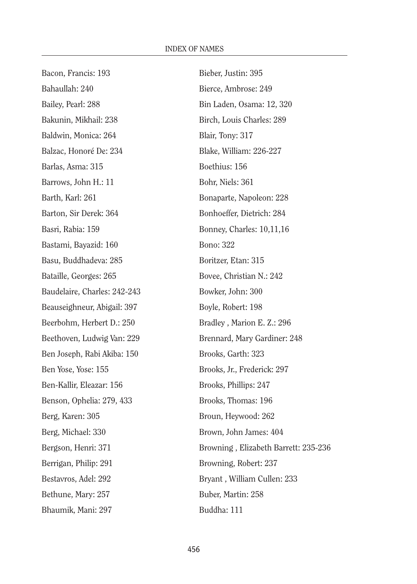Bacon, Francis: 193 Bahaullah: 240 Bailey, Pearl: 288 Bakunin, Mikhail: 238 Baldwin, Monica: 264 Balzac, Honoré De: 234 Barlas, Asma: 315 Barrows, John H.: 11 Barth, Karl: 261 Barton, Sir Derek: 364 Basri, Rabia: 159 Bastami, Bayazid: 160 Basu, Buddhadeva: 285 Bataille, Georges: 265 Baudelaire, Charles: 242-243 Beauseighneur, Abigail: 397 Beerbohm, Herbert D.: 250 Beethoven, Ludwig Van: 229 Ben Joseph, Rabi Akiba: 150 Ben Yose, Yose: 155 Ben-Kallir, Eleazar: 156 Benson, Ophelia: 279, 433 Berg, Karen: 305 Berg, Michael: 330 Bergson, Henri: 371 Berrigan, Philip: 291 Bestavros, Adel: 292 Bethune, Mary: 257 Bhaumik, Mani: 297

Bieber, Justin: 395 Bierce, Ambrose: 249 Bin Laden, Osama: 12, 320 Birch, Louis Charles: 289 Blair, Tony: 317 Blake, William: 226-227 Boethius: 156 Bohr, Niels: 361 Bonaparte, Napoleon: 228 Bonhoeffer, Dietrich: 284 Bonney, Charles: 10,11,16 Bono: 322 Boritzer, Etan: 315 Bovee, Christian N.: 242 Bowker, John: 300 Boyle, Robert: 198 Bradley , Marion E. Z.: 296 Brennard, Mary Gardiner: 248 Brooks, Garth: 323 Brooks, Jr., Frederick: 297 Brooks, Phillips: 247 Brooks, Thomas: 196 Broun, Heywood: 262 Brown, John James: 404 Browning , Elizabeth Barrett: 235-236 Browning, Robert: 237 Bryant , William Cullen: 233 Buber, Martin: 258 Buddha: 111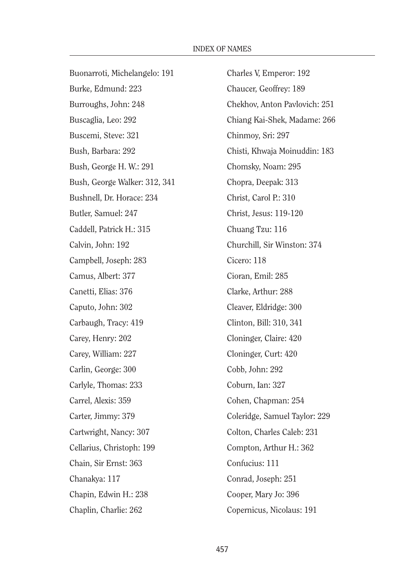Buonarroti, Michelangelo: 191 Burke, Edmund: 223 Burroughs, John: 248 Buscaglia, Leo: 292 Buscemi, Steve: 321 Bush, Barbara: 292 Bush, George H. W.: 291 Bush, George Walker: 312, 341 Bushnell, Dr. Horace: 234 Butler, Samuel: 247 Caddell, Patrick H.: 315 Calvin, John: 192 Campbell, Joseph: 283 Camus, Albert: 377 Canetti, Elias: 376 Caputo, John: 302 Carbaugh, Tracy: 419 Carey, Henry: 202 Carey, William: 227 Carlin, George: 300 Carlyle, Thomas: 233 Carrel, Alexis: 359 Carter, Jimmy: 379 Cartwright, Nancy: 307 Cellarius, Christoph: 199 Chain, Sir Ernst: 363 Chanakya: 117 Chapin, Edwin H.: 238 Chaplin, Charlie: 262

Charles V, Emperor: 192 Chaucer, Geoffrey: 189 Chekhov, Anton Pavlovich: 251 Chiang Kai-Shek, Madame: 266 Chinmoy, Sri: 297 Chisti, Khwaja Moinuddin: 183 Chomsky, Noam: 295 Chopra, Deepak: 313 Christ, Carol P.: 310 Christ, Jesus: 119-120 Chuang Tzu: 116 Churchill, Sir Winston: 374 Cicero: 118 Cioran, Emil: 285 Clarke, Arthur: 288 Cleaver, Eldridge: 300 Clinton, Bill: 310, 341 Cloninger, Claire: 420 Cloninger, Curt: 420 Cobb, John: 292 Coburn, Ian: 327 Cohen, Chapman: 254 Coleridge, Samuel Taylor: 229 Colton, Charles Caleb: 231 Compton, Arthur H.: 362 Confucius: 111 Conrad, Joseph: 251 Cooper, Mary Jo: 396 Copernicus, Nicolaus: 191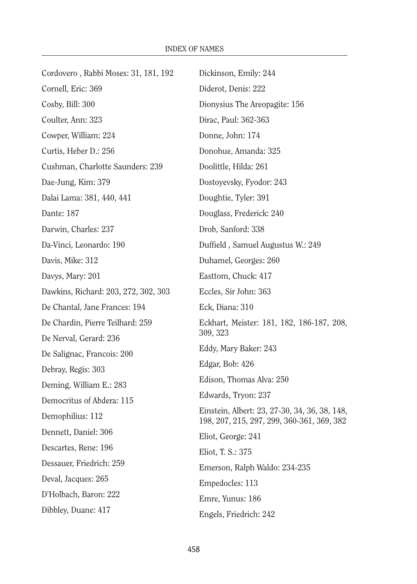| Cordovero, Rabbi Moses: 31, 181, 192 | Dickinson, Emily: 244                                                                       |
|--------------------------------------|---------------------------------------------------------------------------------------------|
| Cornell, Eric: 369                   | Diderot, Denis: 222                                                                         |
| Cosby, Bill: 300                     | Dionysius The Areopagite: 156                                                               |
| Coulter, Ann: 323                    | Dirac, Paul: 362-363                                                                        |
| Cowper, William: 224                 | Donne, John: 174                                                                            |
| Curtis, Heber D.: 256                | Donohue, Amanda: 325                                                                        |
| Cushman, Charlotte Saunders: 239     | Doolittle, Hilda: 261                                                                       |
| Dae-Jung, Kim: 379                   | Dostoyevsky, Fyodor: 243                                                                    |
| Dalai Lama: 381, 440, 441            | Doughtie, Tyler: 391                                                                        |
| Dante: 187                           | Douglass, Frederick: 240                                                                    |
| Darwin, Charles: 237                 | Drob, Sanford: 338                                                                          |
| Da-Vinci, Leonardo: 190              | Duffield, Samuel Augustus W.: 249                                                           |
| Davis, Mike: 312                     | Duhamel, Georges: 260                                                                       |
| Davys, Mary: 201                     | Easttom, Chuck: 417                                                                         |
| Dawkins, Richard: 203, 272, 302, 303 | Eccles, Sir John: 363                                                                       |
| De Chantal, Jane Frances: 194        | Eck, Diana: 310                                                                             |
| De Chardin, Pierre Teilhard: 259     | Eckhart, Meister: 181, 182, 186-187, 208,                                                   |
| De Nerval, Gerard: 236               | 309, 323                                                                                    |
| De Salignac, Francois: 200           | Eddy, Mary Baker: 243                                                                       |
| Debray, Regis: 303                   | Edgar, Bob: 426                                                                             |
| Deming, William E.: 283              | Edison, Thomas Alva: 250                                                                    |
| Democritus of Abdera: 115            | Edwards, Tryon: 237                                                                         |
| Demophilius: 112                     | Einstein, Albert: 23, 27-30, 34, 36, 38, 148,<br>198, 207, 215, 297, 299, 360-361, 369, 382 |
| Dennett, Daniel: 306                 | Eliot, George: 241                                                                          |
| Descartes, Rene: 196                 | Eliot, T. S.: 375                                                                           |
| Dessauer, Friedrich: 259             | Emerson, Ralph Waldo: 234-235                                                               |
| Deval, Jacques: 265                  | Empedocles: 113                                                                             |
| D'Holbach, Baron: 222                | Emre, Yunus: 186                                                                            |
| Dibbley, Duane: 417                  | Engels, Friedrich: 242                                                                      |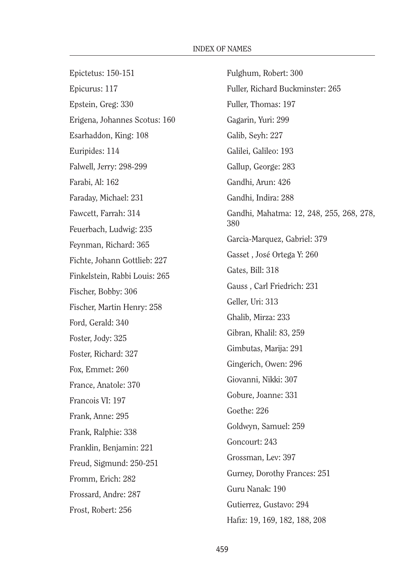Epictetus: 150-151 Epicurus: 117 Epstein, Greg: 330 Erigena, Johannes Scotus: 160 Esarhaddon, King: 108 Euripides: 114 Falwell, Jerry: 298-299 Farabi, Al: 162 Faraday, Michael: 231 Fawcett, Farrah: 314 Feuerbach, Ludwig: 235 Feynman, Richard: 365 Fichte, Johann Gottlieb: 227 Finkelstein, Rabbi Louis: 265 Fischer, Bobby: 306 Fischer, Martin Henry: 258 Ford, Gerald: 340 Foster, Jody: 325 Foster, Richard: 327 Fox, Emmet: 260 France, Anatole: 370 Francois VI: 197 Frank, Anne: 295 Frank, Ralphie: 338 Franklin, Benjamin: 221 Freud, Sigmund: 250-251 Fromm, Erich: 282 Frossard, Andre: 287 Frost, Robert: 256

Fulghum, Robert: 300 Fuller, Richard Buckminster: 265 Fuller, Thomas: 197 Gagarin, Yuri: 299 Galib, Seyh: 227 Galilei, Galileo: 193 Gallup, George: 283 Gandhi, Arun: 426 Gandhi, Indira: 288 Gandhi, Mahatma: 12, 248, 255, 268, 278, 380 Garcia-Marquez, Gabriel: 379 Gasset , José Ortega Y: 260 Gates, Bill: 318 Gauss , Carl Friedrich: 231 Geller, Uri: 313 Ghalib, Mirza: 233 Gibran, Khalil: 83, 259 Gimbutas, Marija: 291 Gingerich, Owen: 296 Giovanni, Nikki: 307 Gobure, Joanne: 331 Goethe: 226 Goldwyn, Samuel: 259 Goncourt: 243 Grossman, Lev: 397 Gurney, Dorothy Frances: 251 Guru Nanak: 190 Gutierrez, Gustavo: 294 Hafiz: 19, 169, 182, 188, 208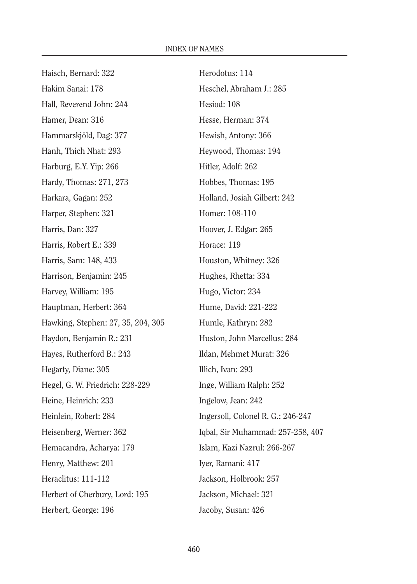| Haisch, Bernard: 322               |
|------------------------------------|
| Hakim Sanai: 178                   |
| Hall, Reverend John: 244           |
| Hamer, Dean: 316                   |
| Hammarskjöld, Dag: 377             |
| Hanh, Thich Nhat: 293              |
| Harburg, E.Y. Yip: 266             |
| Hardy, Thomas: 271, 273            |
| Harkara, Gagan: 252                |
| Harper, Stephen: 321               |
| Harris, Dan: 327                   |
| Harris, Robert E.: 339             |
| Harris, Sam: 148, 433              |
| Harrison, Benjamin: 245            |
| Harvey, William: 195               |
| Hauptman, Herbert: 364             |
| Hawking, Stephen: 27, 35, 204, 305 |
| Haydon, Benjamin R.: 231           |
| Hayes, Rutherford B.: 243          |
| Hegarty, Diane: 305                |
| Hegel, G. W. Friedrich: 228-229    |
| Heine, Heinrich: 233               |
| Heinlein, Robert: 284              |
| Heisenberg, Werner: 362            |
| Hemacandra, Acharya: 179           |
| Henry, Matthew: 201                |
| Heraclitus: 111-112                |
| Herbert of Cherbury, Lord: 195     |
| Herbert, George: 196               |

Herodotus: 114 Heschel, Abraham J.: 285 Hesiod: 108 Hesse, Herman: 374 Hewish, Antony: 366 Heywood, Thomas: 194 Hitler, Adolf: 262 Hobbes, Thomas: 195 Holland, Josiah Gilbert: 242 Homer: 108-110 Hoover, J. Edgar: 265 Horace: 119 Houston, Whitney: 326 Hughes, Rhetta: 334 Hugo, Victor: 234 Hume, David: 221-222 Humle, Kathryn: 282 Huston, John Marcellus: 284 Ildan, Mehmet Murat: 326 Illich, Ivan: 293 Inge, William Ralph: 252 Ingelow, Jean: 242 Ingersoll, Colonel R. G.: 246-247 Iqbal, Sir Muhammad: 257-258, 407 Islam, Kazi Nazrul: 266-267 Iyer, Ramani: 417 Jackson, Holbrook: 257 Jackson, Michael: 321 Jacoby, Susan: 426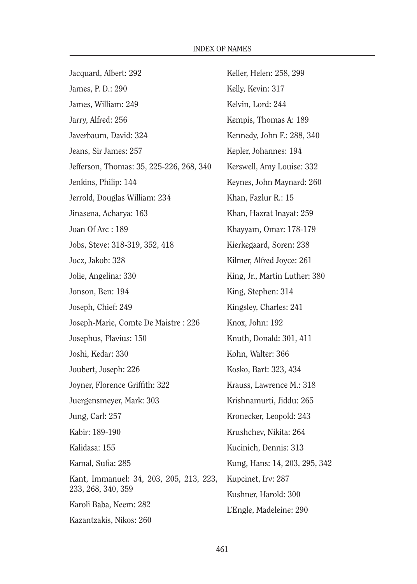Jacquard, Albert: 292 James, P. D.: 290 James, William: 249 Jarry, Alfred: 256 Javerbaum, David: 324 Jeans, Sir James: 257 Jefferson, Thomas: 35, 225-226, 268, 340 Jenkins, Philip: 144 Jerrold, Douglas William: 234 Jinasena, Acharya: 163 Joan Of Arc : 189 Jobs, Steve: 318-319, 352, 418 Jocz, Jakob: 328 Jolie, Angelina: 330 Jonson, Ben: 194 Joseph, Chief: 249 Joseph-Marie, Comte De Maistre : 226 Josephus, Flavius: 150 Joshi, Kedar: 330 Joubert, Joseph: 226 Joyner, Florence Griffith: 322 Juergensmeyer, Mark: 303 Jung, Carl: 257 Kabir: 189-190 Kalidasa: 155 Kamal, Sufia: 285 Kant, Immanuel: 34, 203, 205, 213, 223, 233, 268, 340, 359 Karoli Baba, Neem: 282 Kazantzakis, Nikos: 260 Keller, Helen: 258, 299

Kelly, Kevin: 317 Kelvin, Lord: 244 Kempis, Thomas A: 189 Kennedy, John F.: 288, 340 Kepler, Johannes: 194 Kerswell, Amy Louise: 332 Keynes, John Maynard: 260 Khan, Fazlur R.: 15 Khan, Hazrat Inayat: 259 Khayyam, Omar: 178-179 Kierkegaard, Soren: 238 Kilmer, Alfred Joyce: 261 King, Jr., Martin Luther: 380 King, Stephen: 314 Kingsley, Charles: 241 Knox, John: 192 Knuth, Donald: 301, 411 Kohn, Walter: 366 Kosko, Bart: 323, 434 Krauss, Lawrence M.: 318 Krishnamurti, Jiddu: 265 Kronecker, Leopold: 243 Krushchev, Nikita: 264 Kucinich, Dennis: 313 Kung, Hans: 14, 203, 295, 342 Kupcinet, Irv: 287 Kushner, Harold: 300 L'Engle, Madeleine: 290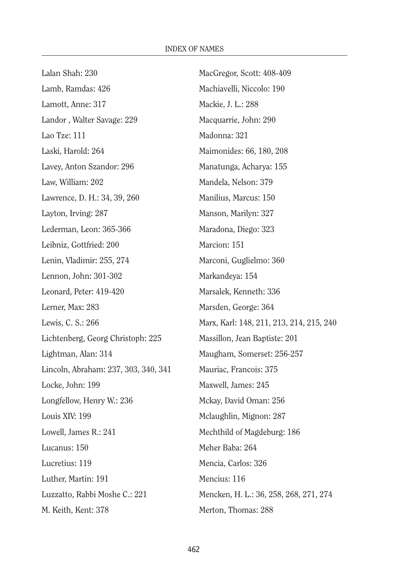| Lalan Shah: 230                      | MacGregor, Scott: 408-409                |
|--------------------------------------|------------------------------------------|
| Lamb, Ramdas: 426                    | Machiavelli, Niccolo: 190                |
| Lamott, Anne: 317                    | Mackie, J. L.: 288                       |
| Landor, Walter Savage: 229           | Macquarrie, John: 290                    |
| Lao Tze: 111                         | Madonna: 321                             |
| Laski, Harold: 264                   | Maimonides: 66, 180, 208                 |
| Lavey, Anton Szandor: 296            | Manatunga, Acharya: 155                  |
| Law, William: 202                    | Mandela, Nelson: 379                     |
| Lawrence, D. H.: 34, 39, 260         | Manilius, Marcus: 150                    |
| Layton, Irving: 287                  | Manson, Marilyn: 327                     |
| Lederman, Leon: 365-366              | Maradona, Diego: 323                     |
| Leibniz, Gottfried: 200              | Marcion: 151                             |
| Lenin, Vladimir: 255, 274            | Marconi, Guglielmo: 360                  |
| Lennon, John: 301-302                | Markandeya: 154                          |
| Leonard, Peter: 419-420              | Marsalek, Kenneth: 336                   |
| Lerner, Max: 283                     | Marsden, George: 364                     |
| Lewis, C. S.: 266                    | Marx, Karl: 148, 211, 213, 214, 215, 240 |
| Lichtenberg, Georg Christoph: 225    | Massillon, Jean Baptiste: 201            |
| Lightman, Alan: 314                  | Maugham, Somerset: 256-257               |
| Lincoln, Abraham: 237, 303, 340, 341 | Mauriac, Francois: 375                   |
| Locke, John: 199                     | Maxwell, James: 245                      |
| Longfellow, Henry W.: 236            | Mckay, David Oman: 256                   |
| Louis XIV: 199                       | Mclaughlin, Mignon: 287                  |
| Lowell, James R.: 241                | Mechthild of Magdeburg: 186              |
| Lucanus: 150                         | Meher Baba: 264                          |
| Lucretius: 119                       | Mencia, Carlos: 326                      |
| Luther, Martin: 191                  | Mencius: 116                             |
| Luzzatto, Rabbi Moshe C.: 221        | Mencken, H. L.: 36, 258, 268, 271, 274   |
| M. Keith, Kent: 378                  | Merton, Thomas: 288                      |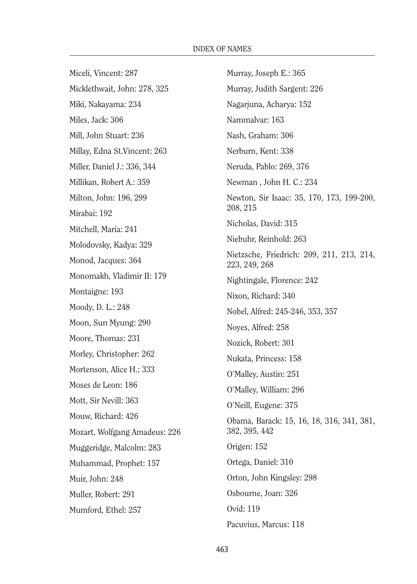Miceli, Vincent: 287 Micklethwait, John: 278, 325 Miki, Nakayama: 234 Miles, Jack: 306 Mill, John Stuart: 236 Millay, Edna St.Vincent: 263 Miller, Daniel J.: 336, 344 Millikan, Robert A.: 359 Milton, John: 196, 299 Mirabai: 192 Mitchell, Maria: 241 Molodovsky, Kadya: 329 Monod, Jacques: 364 Monomakh, Vladimir II: 179 Montaigne: 193 Moody, D. L.: 248 Moon, Sun Myung: 290 Moore, Thomas: 231 Morley, Christopher: 262 Mortenson, Alice H.: 333 Moses de Leon: 186 Mott, Sir Nevill: 363 Mouw, Richard: 426 Mozart, Wolfgang Amadeus: 226 Muggeridge, Malcolm: 283 Muhammad, Prophet: 157 Muir, John: 248 Muller, Robert: 291 Mumford, Ethel: 257

Murray, Joseph E.: 365 Murray, Judith Sargent: 226 Nagarjuna, Acharya: 152 Nammalvar: 163 Nash, Graham: 306 Nerburn, Kent: 338 Neruda, Pablo: 269, 376 Newman , John H. C.: 234 Newton, Sir Isaac: 35, 170, 173, 199-200, 208, 215 Nicholas, David: 315 Niebuhr, Reinhold: 263 Nietzsche, Friedrich: 209, 211, 213, 214, 223, 249, 268 Nightingale, Florence: 242 Nixon, Richard: 340 Nobel, Alfred: 245-246, 353, 357 Noyes, Alfred: 258 Nozick, Robert: 301 Nukata, Princess: 158 O'Malley, Austin: 251 O'Malley, William: 296 O'Neill, Eugene: 375 Obama, Barack: 15, 16, 18, 316, 341, 381, 382, 395, 442 Origen: 152 Ortega, Daniel: 310 Orton, John Kingsley: 298 Osbourne, Joan: 326 Ovid: 119 Pacuvius, Marcus: 118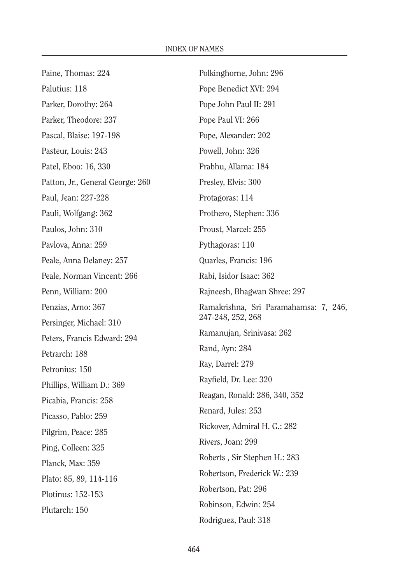| Paine, Thomas: 224               | Polkinghorne, John: 296               |
|----------------------------------|---------------------------------------|
| Palutius: 118                    | Pope Benedict XVI: 294                |
| Parker, Dorothy: 264             | Pope John Paul II: 291                |
| Parker, Theodore: 237            | Pope Paul VI: 266                     |
| Pascal, Blaise: 197-198          | Pope, Alexander: 202                  |
| Pasteur, Louis: 243              | Powell, John: 326                     |
| Patel, Eboo: 16, 330             | Prabhu, Allama: 184                   |
| Patton, Jr., General George: 260 | Presley, Elvis: 300                   |
| Paul, Jean: 227-228              | Protagoras: 114                       |
| Pauli, Wolfgang: 362             | Prothero, Stephen: 336                |
| Paulos, John: 310                | Proust, Marcel: 255                   |
| Pavlova, Anna: 259               | Pythagoras: 110                       |
| Peale, Anna Delaney: 257         | Quarles, Francis: 196                 |
| Peale, Norman Vincent: 266       | Rabi, Isidor Isaac: 362               |
| Penn, William: 200               | Rajneesh, Bhagwan Shree: 297          |
| Penzias, Arno: 367               | Ramakrishna, Sri Paramahamsa: 7, 246, |
| Persinger, Michael: 310          | 247-248, 252, 268                     |
| Peters, Francis Edward: 294      | Ramanujan, Srinivasa: 262             |
| Petrarch: 188                    | Rand, Ayn: 284                        |
| Petronius: 150                   | Ray, Darrel: 279                      |
| Phillips, William D.: 369        | Rayfield, Dr. Lee: 320                |
| Picabia, Francis: 258            | Reagan, Ronald: 286, 340, 352         |
| Picasso, Pablo: 259              | Renard, Jules: 253                    |
| Pilgrim, Peace: 285              | Rickover, Admiral H. G.: 282          |
| Ping, Colleen: 325               | Rivers, Joan: 299                     |
| Planck, Max: 359                 | Roberts, Sir Stephen H.: 283          |
| Plato: 85, 89, 114-116           | Robertson, Frederick W.: 239          |
| Plotinus: 152-153                | Robertson, Pat: 296                   |
| Plutarch: 150                    | Robinson, Edwin: 254                  |
|                                  | Rodriguez, Paul: 318                  |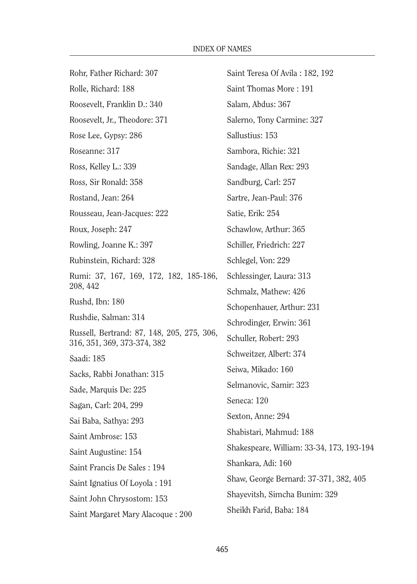Rohr, Father Richard: 307 Rolle, Richard: 188 Roosevelt, Franklin D.: 340 Roosevelt, Jr., Theodore: 371 Rose Lee, Gypsy: 286 Roseanne: 317 Ross, Kelley L.: 339 Ross, Sir Ronald: 358 Rostand, Jean: 264 Rousseau, Jean-Jacques: 222 Roux, Joseph: 247 Rowling, Joanne K.: 397 Rubinstein, Richard: 328 Rumi: 37, 167, 169, 172, 182, 185-186, 208, 442 Rushd, Ibn: 180 Rushdie, Salman: 314 Russell, Bertrand: 87, 148, 205, 275, 306, 316, 351, 369, 373-374, 382 Saadi: 185 Sacks, Rabbi Jonathan: 315 Sade, Marquis De: 225 Sagan, Carl: 204, 299 Sai Baba, Sathya: 293 Saint Ambrose: 153 Saint Augustine: 154 Saint Francis De Sales : 194 Saint Ignatius Of Loyola : 191 Saint John Chrysostom: 153 Saint Margaret Mary Alacoque : 200 Saint Teresa Of Avila : 182, 192 Saint Thomas More : 191 Salam, Abdus: 367 Salerno, Tony Carmine: 327 Sallustius: 153 Sambora, Richie: 321 Sandage, Allan Rex: 293 Sandburg, Carl: 257 Sartre, Jean-Paul: 376 Satie, Erik: 254 Schawlow, Arthur: 365 Schiller, Friedrich: 227 Schlegel, Von: 229 Schlessinger, Laura: 313 Schmalz, Mathew: 426 Schopenhauer, Arthur: 231 Schrodinger, Erwin: 361 Schuller, Robert: 293 Schweitzer, Albert: 374 Seiwa, Mikado: 160 Selmanovic, Samir: 323 Seneca: 120 Sexton, Anne: 294 Shabistari, Mahmud: 188 Shakespeare, William: 33-34, 173, 193-194 Shankara, Adi: 160 Shaw, George Bernard: 37-371, 382, 405 Shayevitsh, Simcha Bunim: 329 Sheikh Farid, Baba: 184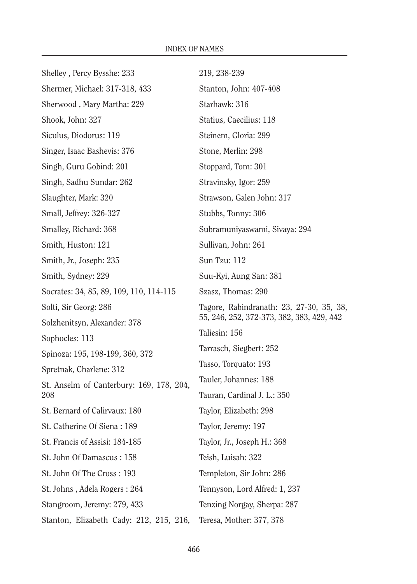| Shelley, Percy Bysshe: 233               | 219, 238-239                              |
|------------------------------------------|-------------------------------------------|
| Shermer, Michael: 317-318, 433           | Stanton, John: 407-408                    |
| Sherwood, Mary Martha: 229               | Starhawk: 316                             |
| Shook, John: 327                         | Statius, Caecilius: 118                   |
| Siculus, Diodorus: 119                   | Steinem, Gloria: 299                      |
| Singer, Isaac Bashevis: 376              | Stone, Merlin: 298                        |
| Singh, Guru Gobind: 201                  | Stoppard, Tom: 301                        |
| Singh, Sadhu Sundar: 262                 | Stravinsky, Igor: 259                     |
| Slaughter, Mark: 320                     | Strawson, Galen John: 317                 |
| Small, Jeffrey: 326-327                  | Stubbs, Tonny: 306                        |
| Smalley, Richard: 368                    | Subramuniyaswami, Sivaya: 294             |
| Smith, Huston: 121                       | Sullivan, John: 261                       |
| Smith, Jr., Joseph: 235                  | Sun Tzu: 112                              |
| Smith, Sydney: 229                       | Suu-Kyi, Aung San: 381                    |
| Socrates: 34, 85, 89, 109, 110, 114-115  | Szasz, Thomas: 290                        |
| Solti, Sir Georg: 286                    | Tagore, Rabindranath: 23, 27-30, 35, 38,  |
| Solzhenitsyn, Alexander: 378             | 55, 246, 252, 372-373, 382, 383, 429, 442 |
| Sophocles: 113                           | Taliesin: 156                             |
| Spinoza: 195, 198-199, 360, 372          | Tarrasch, Siegbert: 252                   |
| Spretnak, Charlene: 312                  | Tasso, Torquato: 193                      |
| St. Anselm of Canterbury: 169, 178, 204, | Tauler, Johannes: 188                     |
| 208                                      | Tauran, Cardinal J. L.: 350               |
| St. Bernard of Calirvaux: 180            | Taylor, Elizabeth: 298                    |
| St. Catherine Of Siena: 189              | Taylor, Jeremy: 197                       |
| St. Francis of Assisi: 184-185           | Taylor, Jr., Joseph H.: 368               |
| St. John Of Damascus: 158                | Teish, Luisah: 322                        |
| St. John Of The Cross: 193               | Templeton, Sir John: 286                  |
| St. Johns, Adela Rogers: 264             | Tennyson, Lord Alfred: 1, 237             |
| Stangroom, Jeremy: 279, 433              | Tenzing Norgay, Sherpa: 287               |
| Stanton, Elizabeth Cady: 212, 215, 216,  | Teresa, Mother: 377, 378                  |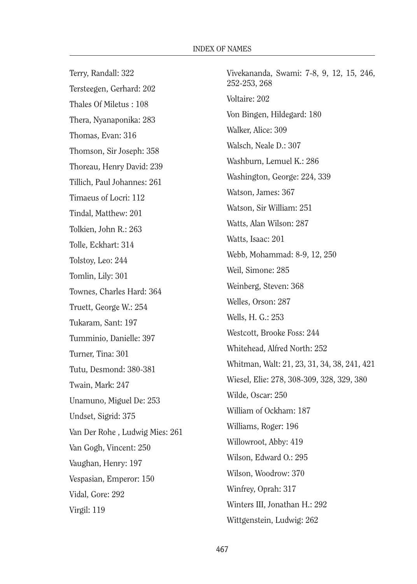Terry, Randall: 322 Tersteegen, Gerhard: 202 Thales Of Miletus : 108 Thera, Nyanaponika: 283 Thomas, Evan: 316 Thomson, Sir Joseph: 358 Thoreau, Henry David: 239 Tillich, Paul Johannes: 261 Timaeus of Locri: 112 Tindal, Matthew: 201 Tolkien, John R.: 263 Tolle, Eckhart: 314 Tolstoy, Leo: 244 Tomlin, Lily: 301 Townes, Charles Hard: 364 Truett, George W.: 254 Tukaram, Sant: 197 Tumminio, Danielle: 397 Turner, Tina: 301 Tutu, Desmond: 380-381 Twain, Mark: 247 Unamuno, Miguel De: 253 Undset, Sigrid: 375 Van Der Rohe , Ludwig Mies: 261 Van Gogh, Vincent: 250 Vaughan, Henry: 197 Vespasian, Emperor: 150 Vidal, Gore: 292 Virgil: 119

Vivekananda, Swami: 7-8, 9, 12, 15, 246, 252-253, 268 Voltaire: 202 Von Bingen, Hildegard: 180 Walker, Alice: 309 Walsch, Neale D.: 307 Washburn, Lemuel K.: 286 Washington, George: 224, 339 Watson, James: 367 Watson, Sir William: 251 Watts, Alan Wilson: 287 Watts, Isaac: 201 Webb, Mohammad: 8-9, 12, 250 Weil, Simone: 285 Weinberg, Steven: 368 Welles, Orson: 287 Wells, H. G.: 253 Westcott, Brooke Foss: 244 Whitehead, Alfred North: 252 Whitman, Walt: 21, 23, 31, 34, 38, 241, 421 Wiesel, Elie: 278, 308-309, 328, 329, 380 Wilde, Oscar: 250 William of Ockham: 187 Williams, Roger: 196 Willowroot, Abby: 419 Wilson, Edward O.: 295 Wilson, Woodrow: 370 Winfrey, Oprah: 317 Winters III, Jonathan H.: 292 Wittgenstein, Ludwig: 262